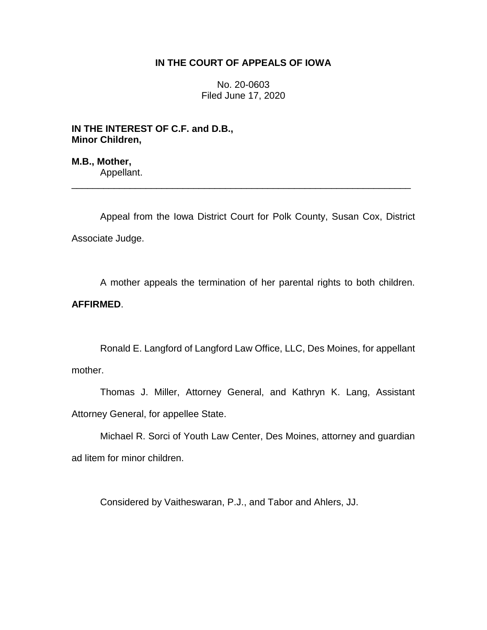## **IN THE COURT OF APPEALS OF IOWA**

No. 20-0603 Filed June 17, 2020

**IN THE INTEREST OF C.F. and D.B., Minor Children,**

**M.B., Mother,** Appellant.

Appeal from the Iowa District Court for Polk County, Susan Cox, District Associate Judge.

\_\_\_\_\_\_\_\_\_\_\_\_\_\_\_\_\_\_\_\_\_\_\_\_\_\_\_\_\_\_\_\_\_\_\_\_\_\_\_\_\_\_\_\_\_\_\_\_\_\_\_\_\_\_\_\_\_\_\_\_\_\_\_\_

A mother appeals the termination of her parental rights to both children. **AFFIRMED**.

Ronald E. Langford of Langford Law Office, LLC, Des Moines, for appellant mother.

Thomas J. Miller, Attorney General, and Kathryn K. Lang, Assistant Attorney General, for appellee State.

Michael R. Sorci of Youth Law Center, Des Moines, attorney and guardian ad litem for minor children.

Considered by Vaitheswaran, P.J., and Tabor and Ahlers, JJ.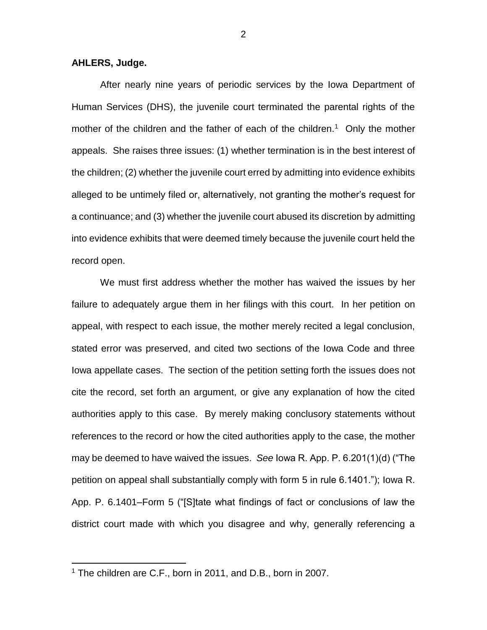**AHLERS, Judge.**

After nearly nine years of periodic services by the Iowa Department of Human Services (DHS), the juvenile court terminated the parental rights of the mother of the children and the father of each of the children.<sup>1</sup> Only the mother appeals. She raises three issues: (1) whether termination is in the best interest of the children; (2) whether the juvenile court erred by admitting into evidence exhibits alleged to be untimely filed or, alternatively, not granting the mother's request for a continuance; and (3) whether the juvenile court abused its discretion by admitting into evidence exhibits that were deemed timely because the juvenile court held the record open.

We must first address whether the mother has waived the issues by her failure to adequately argue them in her filings with this court. In her petition on appeal, with respect to each issue, the mother merely recited a legal conclusion, stated error was preserved, and cited two sections of the Iowa Code and three Iowa appellate cases. The section of the petition setting forth the issues does not cite the record, set forth an argument, or give any explanation of how the cited authorities apply to this case. By merely making conclusory statements without references to the record or how the cited authorities apply to the case, the mother may be deemed to have waived the issues. *See* Iowa R. App. P. 6.201(1)(d) ("The petition on appeal shall substantially comply with form 5 in rule 6.1401."); Iowa R. App. P. 6.1401–Form 5 ("[S]tate what findings of fact or conclusions of law the district court made with which you disagree and why, generally referencing a

 $\overline{a}$ 

<sup>1</sup> The children are C.F., born in 2011, and D.B., born in 2007.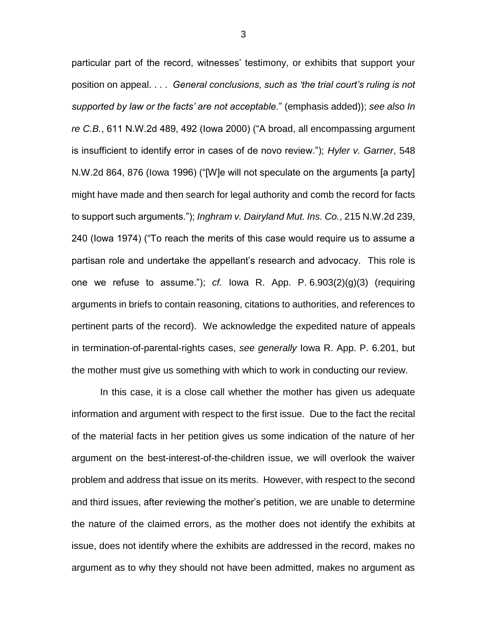particular part of the record, witnesses' testimony, or exhibits that support your position on appeal. . . . *General conclusions, such as 'the trial court's ruling is not supported by law or the facts' are not acceptable.*" (emphasis added)); *see also In re C.B.*, 611 N.W.2d 489, 492 (Iowa 2000) ("A broad, all encompassing argument is insufficient to identify error in cases of de novo review."); *Hyler v. Garner*, 548 N.W.2d 864, 876 (Iowa 1996) ("[W]e will not speculate on the arguments [a party] might have made and then search for legal authority and comb the record for facts to support such arguments."); *Inghram v. Dairyland Mut. Ins. Co.*, 215 N.W.2d 239, 240 (Iowa 1974) ("To reach the merits of this case would require us to assume a partisan role and undertake the appellant's research and advocacy. This role is one we refuse to assume."); *cf.* Iowa R. App. P. 6.903(2)(g)(3) (requiring arguments in briefs to contain reasoning, citations to authorities, and references to pertinent parts of the record). We acknowledge the expedited nature of appeals in termination-of-parental-rights cases, *see generally* Iowa R. App. P. 6.201, but the mother must give us something with which to work in conducting our review.

In this case, it is a close call whether the mother has given us adequate information and argument with respect to the first issue. Due to the fact the recital of the material facts in her petition gives us some indication of the nature of her argument on the best-interest-of-the-children issue, we will overlook the waiver problem and address that issue on its merits. However, with respect to the second and third issues, after reviewing the mother's petition, we are unable to determine the nature of the claimed errors, as the mother does not identify the exhibits at issue, does not identify where the exhibits are addressed in the record, makes no argument as to why they should not have been admitted, makes no argument as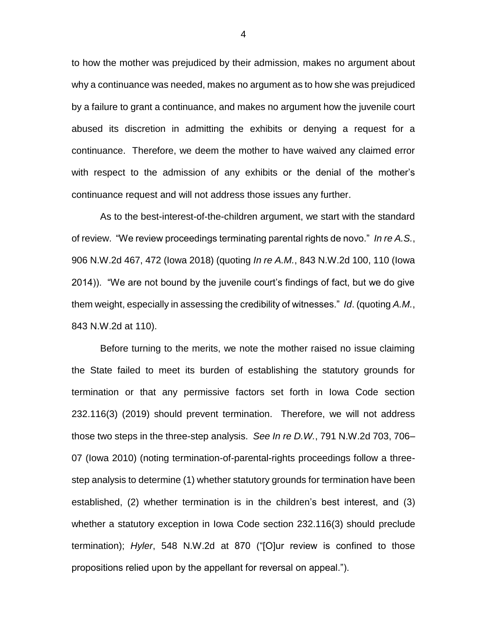to how the mother was prejudiced by their admission, makes no argument about why a continuance was needed, makes no argument as to how she was prejudiced by a failure to grant a continuance, and makes no argument how the juvenile court abused its discretion in admitting the exhibits or denying a request for a continuance. Therefore, we deem the mother to have waived any claimed error with respect to the admission of any exhibits or the denial of the mother's continuance request and will not address those issues any further.

As to the best-interest-of-the-children argument, we start with the standard of review. "We review proceedings terminating parental rights de novo." *In re A.S.*, 906 N.W.2d 467, 472 (Iowa 2018) (quoting *In re A.M.*, 843 N.W.2d 100, 110 (Iowa 2014)). "We are not bound by the juvenile court's findings of fact, but we do give them weight, especially in assessing the credibility of witnesses." *Id*. (quoting *A.M.*, 843 N.W.2d at 110).

Before turning to the merits, we note the mother raised no issue claiming the State failed to meet its burden of establishing the statutory grounds for termination or that any permissive factors set forth in Iowa Code section 232.116(3) (2019) should prevent termination. Therefore, we will not address those two steps in the three-step analysis. *See In re D.W.*, 791 N.W.2d 703, 706– 07 (Iowa 2010) (noting termination-of-parental-rights proceedings follow a threestep analysis to determine (1) whether statutory grounds for termination have been established, (2) whether termination is in the children's best interest, and (3) whether a statutory exception in Iowa Code section 232.116(3) should preclude termination); *Hyler*, 548 N.W.2d at 870 ("[O]ur review is confined to those propositions relied upon by the appellant for reversal on appeal.").

4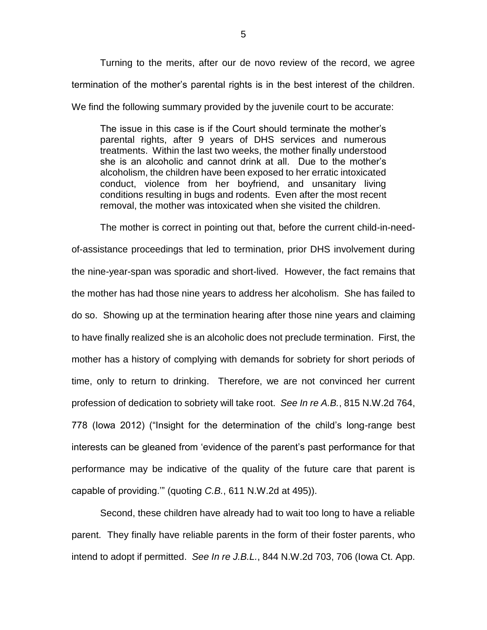Turning to the merits, after our de novo review of the record, we agree termination of the mother's parental rights is in the best interest of the children. We find the following summary provided by the juvenile court to be accurate:

The issue in this case is if the Court should terminate the mother's parental rights, after 9 years of DHS services and numerous treatments. Within the last two weeks, the mother finally understood she is an alcoholic and cannot drink at all. Due to the mother's alcoholism, the children have been exposed to her erratic intoxicated conduct, violence from her boyfriend, and unsanitary living conditions resulting in bugs and rodents. Even after the most recent removal, the mother was intoxicated when she visited the children.

The mother is correct in pointing out that, before the current child-in-needof-assistance proceedings that led to termination, prior DHS involvement during the nine-year-span was sporadic and short-lived. However, the fact remains that the mother has had those nine years to address her alcoholism. She has failed to do so. Showing up at the termination hearing after those nine years and claiming to have finally realized she is an alcoholic does not preclude termination. First, the mother has a history of complying with demands for sobriety for short periods of time, only to return to drinking. Therefore, we are not convinced her current profession of dedication to sobriety will take root. *See In re A.B.*, 815 N.W.2d 764, 778 (Iowa 2012) ("Insight for the determination of the child's long-range best interests can be gleaned from 'evidence of the parent's past performance for that performance may be indicative of the quality of the future care that parent is capable of providing.'" (quoting *C.B.*, 611 N.W.2d at 495)).

Second, these children have already had to wait too long to have a reliable parent. They finally have reliable parents in the form of their foster parents, who intend to adopt if permitted. *See In re J.B.L.*, 844 N.W.2d 703, 706 (Iowa Ct. App.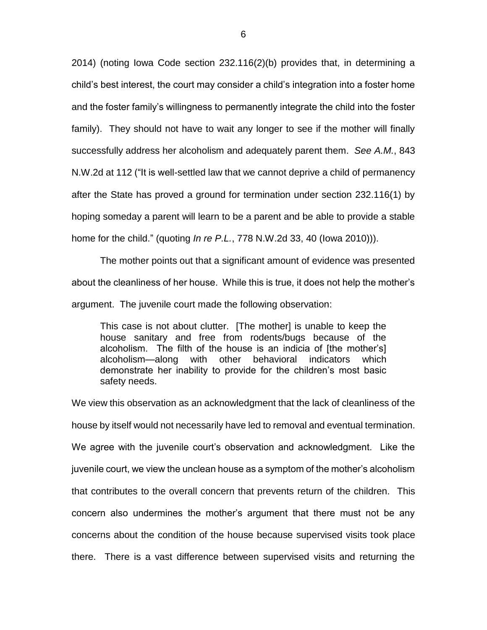2014) (noting Iowa Code section 232.116(2)(b) provides that, in determining a child's best interest, the court may consider a child's integration into a foster home and the foster family's willingness to permanently integrate the child into the foster family). They should not have to wait any longer to see if the mother will finally successfully address her alcoholism and adequately parent them. *See A.M.*, 843 N.W.2d at 112 ("It is well-settled law that we cannot deprive a child of permanency after the State has proved a ground for termination under section 232.116(1) by hoping someday a parent will learn to be a parent and be able to provide a stable home for the child." (quoting *In re P.L.*, 778 N.W.2d 33, 40 (Iowa 2010))).

The mother points out that a significant amount of evidence was presented about the cleanliness of her house. While this is true, it does not help the mother's argument. The juvenile court made the following observation:

This case is not about clutter. [The mother] is unable to keep the house sanitary and free from rodents/bugs because of the alcoholism. The filth of the house is an indicia of [the mother's] alcoholism—along with other behavioral indicators which demonstrate her inability to provide for the children's most basic safety needs.

We view this observation as an acknowledgment that the lack of cleanliness of the house by itself would not necessarily have led to removal and eventual termination. We agree with the juvenile court's observation and acknowledgment. Like the juvenile court, we view the unclean house as a symptom of the mother's alcoholism that contributes to the overall concern that prevents return of the children. This concern also undermines the mother's argument that there must not be any concerns about the condition of the house because supervised visits took place there. There is a vast difference between supervised visits and returning the